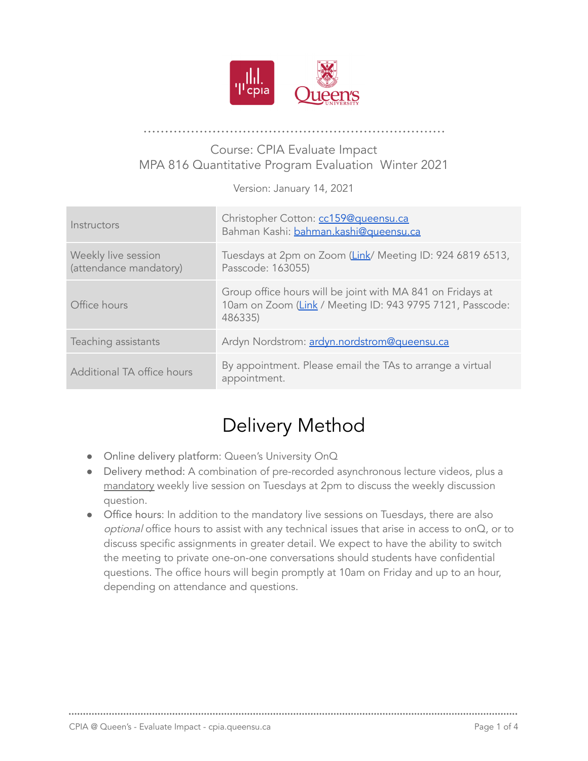

#### Course: CPIA Evaluate Impact MPA 816 Quantitative Program Evaluation Winter 2021

Version: January 14, 2021

| Instructors                                   | Christopher Cotton: cc159@queensu.ca<br>Bahman Kashi: bahman.kashi@queensu.ca                                                      |
|-----------------------------------------------|------------------------------------------------------------------------------------------------------------------------------------|
| Weekly live session<br>(attendance mandatory) | Tuesdays at 2pm on Zoom (Link/ Meeting ID: 924 6819 6513,<br>Passcode: 163055)                                                     |
| Office hours                                  | Group office hours will be joint with MA 841 on Fridays at<br>10am on Zoom (Link / Meeting ID: 943 9795 7121, Passcode:<br>486335) |
| Teaching assistants                           | Ardyn Nordstrom: ardyn.nordstrom@queensu.ca                                                                                        |
| Additional TA office hours                    | By appointment. Please email the TAs to arrange a virtual<br>appointment.                                                          |

# Delivery Method

- Online delivery platform: Queen's University OnQ
- Delivery method: A combination of pre-recorded asynchronous lecture videos, plus a mandatory weekly live session on Tuesdays at 2pm to discuss the weekly discussion question.
- Office hours: In addition to the mandatory live sessions on Tuesdays, there are also optional office hours to assist with any technical issues that arise in access to onQ, or to discuss specific assignments in greater detail. We expect to have the ability to switch the meeting to private one-on-one conversations should students have confidential questions. The office hours will begin promptly at 10am on Friday and up to an hour, depending on attendance and questions.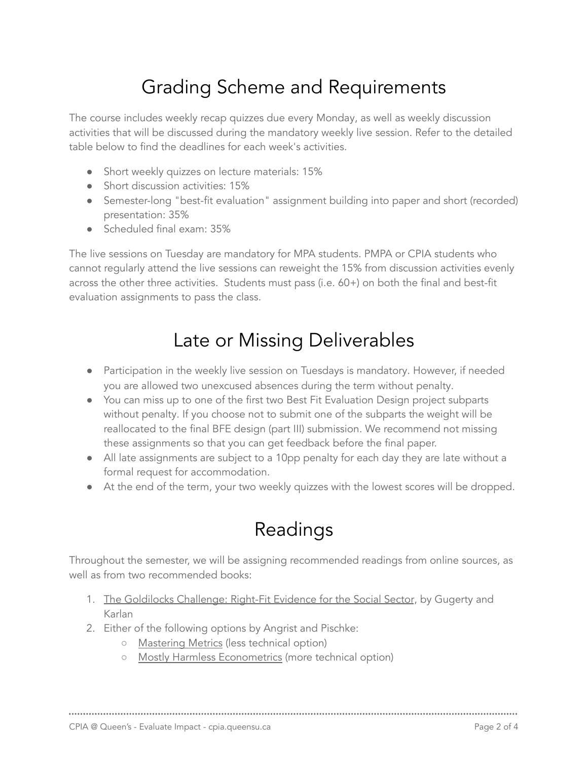# Grading Scheme and Requirements

The course includes weekly recap quizzes due every Monday, as well as weekly discussion activities that will be discussed during the mandatory weekly live session. Refer to the detailed table below to find the deadlines for each week's activities.

- Short weekly quizzes on lecture materials: 15%
- Short discussion activities: 15%
- Semester-long "best-fit evaluation" assignment building into paper and short (recorded) presentation: 35%
- Scheduled final exam: 35%

The live sessions on Tuesday are mandatory for MPA students. PMPA or CPIA students who cannot regularly attend the live sessions can reweight the 15% from discussion activities evenly across the other three activities. Students must pass (i.e. 60+) on both the final and best-fit evaluation assignments to pass the class.

#### Late or Missing Deliverables

- Participation in the weekly live session on Tuesdays is mandatory. However, if needed you are allowed two unexcused absences during the term without penalty.
- You can miss up to one of the first two Best Fit Evaluation Design project subparts without penalty. If you choose not to submit one of the subparts the weight will be reallocated to the final BFE design (part III) submission. We recommend not missing these assignments so that you can get feedback before the final paper.
- All late assignments are subject to a 10pp penalty for each day they are late without a formal request for accommodation.
- At the end of the term, your two weekly quizzes with the lowest scores will be dropped.

## Readings

Throughout the semester, we will be assigning recommended readings from online sources, as well as from two recommended books:

- 1. The Goldilocks Challenge: Right-Fit Evidence for the Social Sector, by Gugerty and Karlan
- 2. Either of the following options by Angrist and Pischke:
	- Mastering Metrics (less technical option)
	- Mostly Harmless Econometrics (more technical option)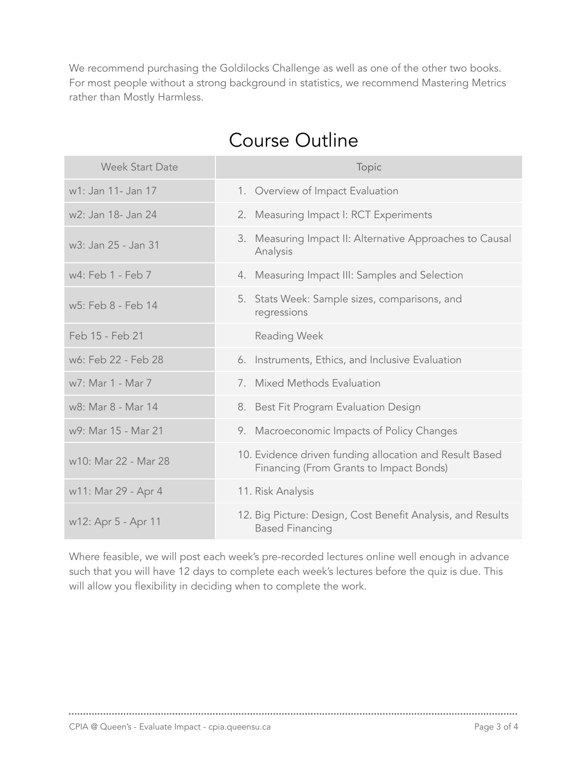We recommend purchasing the Goldilocks Challenge as well as one of the other two books. For most people without a strong background in statistics, we recommend Mastering Metrics rather than Mostly Harmless.

| <b>Week Start Date</b> | Topic                                                                                              |
|------------------------|----------------------------------------------------------------------------------------------------|
| w1: Jan 11- Jan 17     | 1. Overview of Impact Evaluation                                                                   |
| w2: Jan 18- Jan 24     | 2. Measuring Impact I: RCT Experiments                                                             |
| w3: Jan 25 - Jan 31    | Measuring Impact II: Alternative Approaches to Causal<br>3.<br>Analysis                            |
| w4: Feb 1 - Feb 7      | 4. Measuring Impact III: Samples and Selection                                                     |
| w5: Feb 8 - Feb 14     | 5. Stats Week: Sample sizes, comparisons, and<br>regressions                                       |
| Feb 15 - Feb 21        | <b>Reading Week</b>                                                                                |
| w6: Feb 22 - Feb 28    | 6. Instruments, Ethics, and Inclusive Evaluation                                                   |
| w7: Mar 1 - Mar 7      | 7. Mixed Methods Evaluation                                                                        |
| w8: Mar 8 - Mar 14     | 8. Best Fit Program Evaluation Design                                                              |
| w9: Mar 15 - Mar 21    | 9. Macroeconomic Impacts of Policy Changes                                                         |
| w10: Mar 22 - Mar 28   | 10. Evidence driven funding allocation and Result Based<br>Financing (From Grants to Impact Bonds) |
| w11: Mar 29 - Apr 4    | 11. Risk Analysis                                                                                  |
| w12: Apr 5 - Apr 11    | 12. Big Picture: Design, Cost Benefit Analysis, and Results<br><b>Based Financing</b>              |

### Course Outline

Where feasible, we will post each week's pre-recorded lectures online well enough in advance such that you will have 12 days to complete each week's lectures before the quiz is due. This will allow you flexibility in deciding when to complete the work.